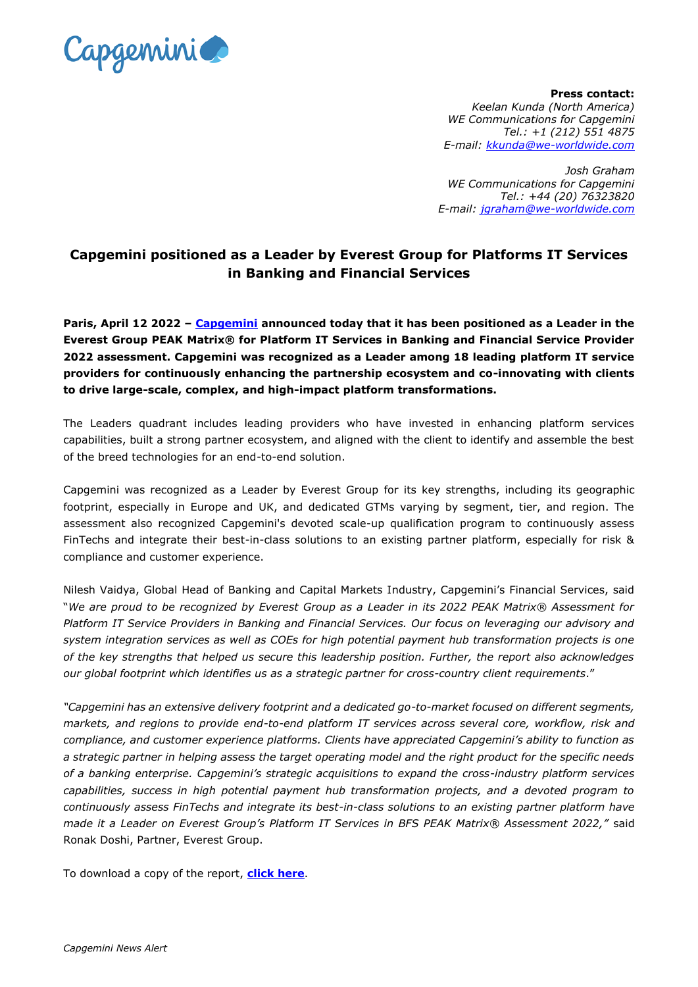

**Press contact:**  *Keelan Kunda (North America) WE Communications for Capgemini Tel.: +1 (212) 551 4875 E-mail: [kkunda@we-worldwide.com](mailto:kkunda@we-worldwide.com)*

*Josh Graham WE Communications for Capgemini Tel.: +44 (20) 76323820 E-mail: [jgraham@we-worldwide.com](mailto:jgraham@we-worldwide.com)*

## **Capgemini positioned as a Leader by Everest Group for Platforms IT Services in Banking and Financial Services**

**Paris, April 12 2022 – [Capgemini](http://www.capgemini.com/) announced today that it has been positioned as a Leader in the Everest Group PEAK Matrix® for Platform IT Services in Banking and Financial Service Provider 2022 assessment. Capgemini was recognized as a Leader among 18 leading platform IT service providers for continuously enhancing the partnership ecosystem and co-innovating with clients to drive large-scale, complex, and high-impact platform transformations.** 

The Leaders quadrant includes leading providers who have invested in enhancing platform services capabilities, built a strong partner ecosystem, and aligned with the client to identify and assemble the best of the breed technologies for an end-to-end solution.

Capgemini was recognized as a Leader by Everest Group for its key strengths, including its geographic footprint, especially in Europe and UK, and dedicated GTMs varying by segment, tier, and region. The assessment also recognized Capgemini's devoted scale-up qualification program to continuously assess FinTechs and integrate their best-in-class solutions to an existing partner platform, especially for risk & compliance and customer experience.

Nilesh Vaidya, Global Head of Banking and Capital Markets Industry, Capgemini's Financial Services, said "*We are proud to be recognized by Everest Group as a Leader in its 2022 PEAK Matrix® Assessment for Platform IT Service Providers in Banking and Financial Services. Our focus on leveraging our advisory and system integration services as well as COEs for high potential payment hub transformation projects is one of the key strengths that helped us secure this leadership position. Further, the report also acknowledges our global footprint which identifies us as a strategic partner for cross-country client requirements*."

*"Capgemini has an extensive delivery footprint and a dedicated go-to-market focused on different segments, markets, and regions to provide end-to-end platform IT services across several core, workflow, risk and compliance, and customer experience platforms. Clients have appreciated Capgemini's ability to function as a strategic partner in helping assess the target operating model and the right product for the specific needs of a banking enterprise. Capgemini's strategic acquisitions to expand the cross-industry platform services capabilities, success in high potential payment hub transformation projects, and a devoted program to continuously assess FinTechs and integrate its best-in-class solutions to an existing partner platform have made it a Leader on Everest Group's Platform IT Services in BFS PEAK Matrix® Assessment 2022,"* said Ronak Doshi, Partner, Everest Group.

To download a copy of the report, **[click here](https://www.capgemini.com/resources/capgemini-positioned-as-a-leader-by-everest-group-for-platform-it-services-in-banking-and-financial-services/)**.